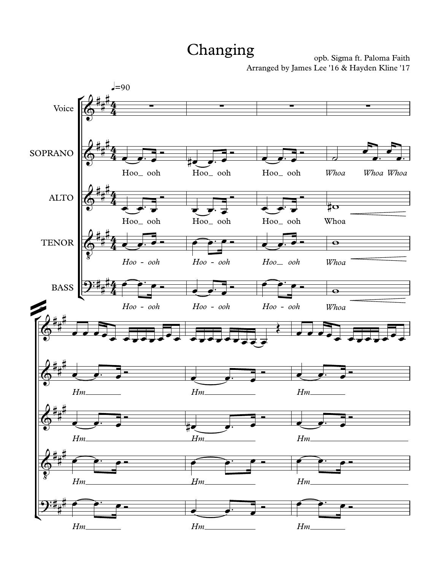## Changing

opb. Sigma ft. Paloma Faith Arranged by James Lee '16 & Hayden Kline '17

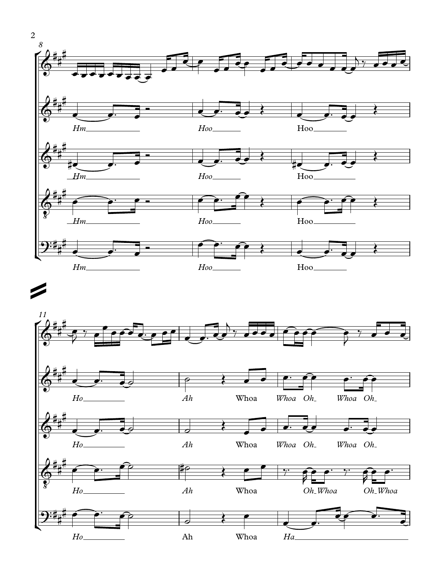

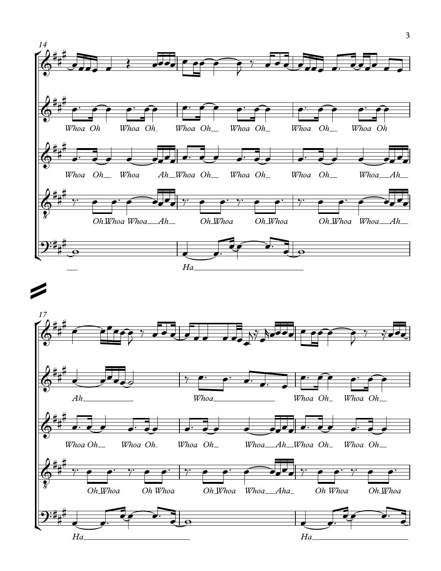

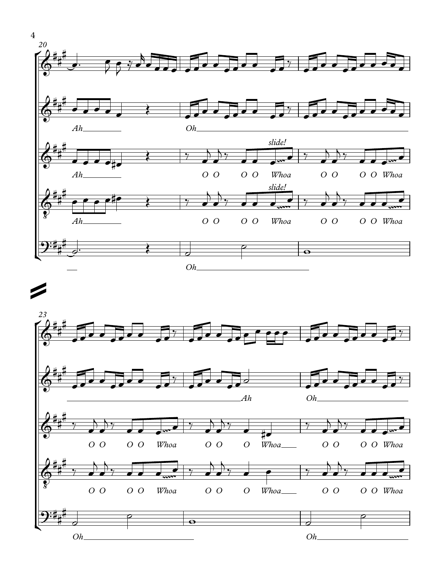

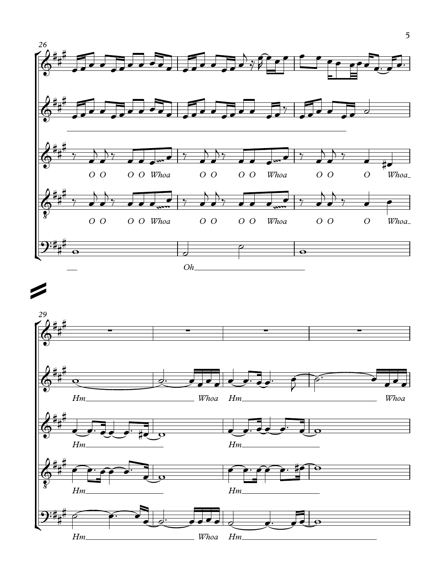

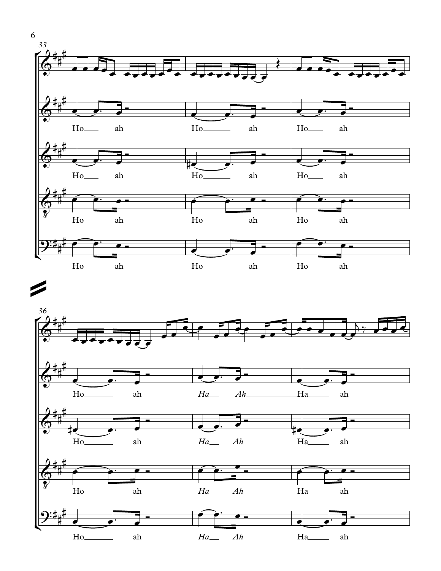



6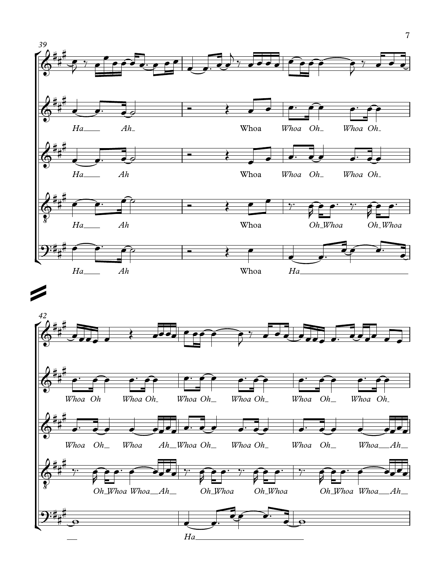

7

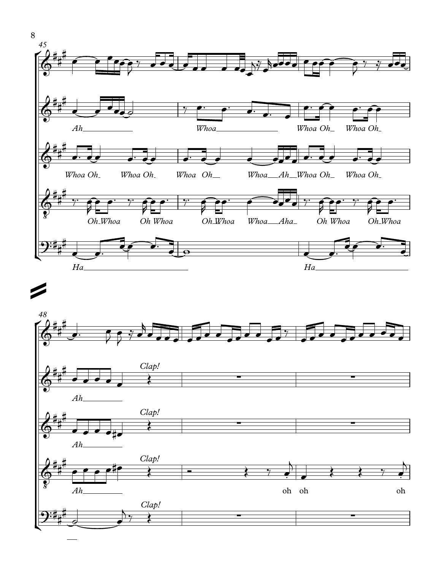

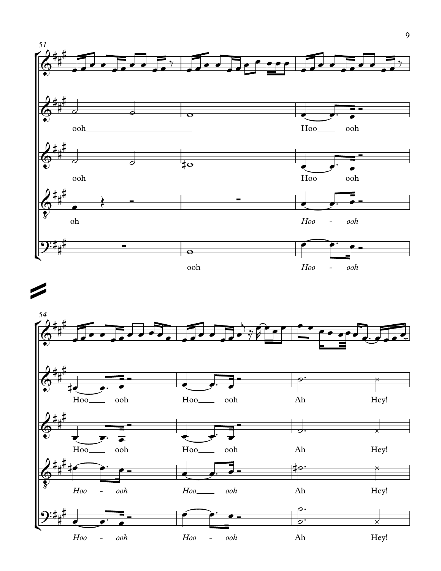

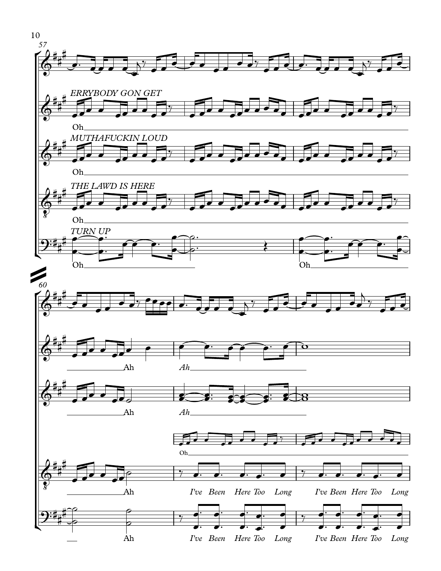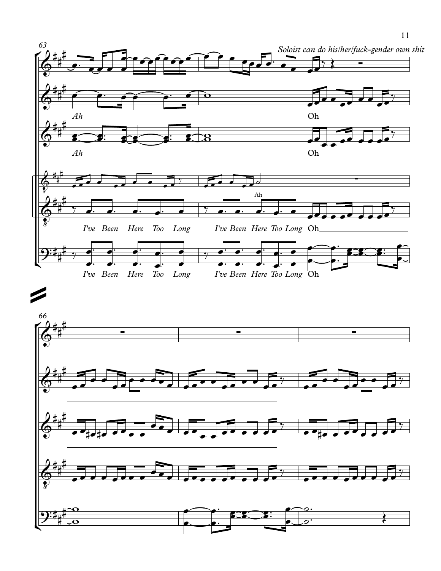